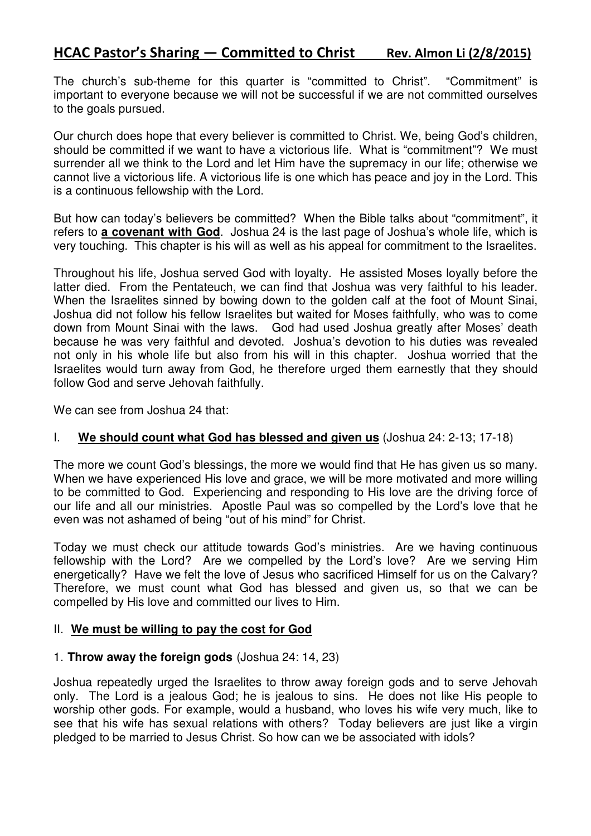# HCAC Pastor's Sharing – Committed to Christ Rev. Almon Li (2/8/2015)

The church's sub-theme for this quarter is "committed to Christ". "Commitment" is important to everyone because we will not be successful if we are not committed ourselves to the goals pursued.

Our church does hope that every believer is committed to Christ. We, being God's children, should be committed if we want to have a victorious life. What is "commitment"? We must surrender all we think to the Lord and let Him have the supremacy in our life; otherwise we cannot live a victorious life. A victorious life is one which has peace and joy in the Lord. This is a continuous fellowship with the Lord.

But how can today's believers be committed? When the Bible talks about "commitment", it refers to **a covenant with God**. Joshua 24 is the last page of Joshua's whole life, which is very touching. This chapter is his will as well as his appeal for commitment to the Israelites.

Throughout his life, Joshua served God with loyalty. He assisted Moses loyally before the latter died. From the Pentateuch, we can find that Joshua was very faithful to his leader. When the Israelites sinned by bowing down to the golden calf at the foot of Mount Sinai, Joshua did not follow his fellow Israelites but waited for Moses faithfully, who was to come down from Mount Sinai with the laws. God had used Joshua greatly after Moses' death because he was very faithful and devoted. Joshua's devotion to his duties was revealed not only in his whole life but also from his will in this chapter. Joshua worried that the Israelites would turn away from God, he therefore urged them earnestly that they should follow God and serve Jehovah faithfully.

We can see from Joshua 24 that:

## I. **We should count what God has blessed and given us** (Joshua 24: 2-13; 17-18)

The more we count God's blessings, the more we would find that He has given us so many. When we have experienced His love and grace, we will be more motivated and more willing to be committed to God. Experiencing and responding to His love are the driving force of our life and all our ministries. Apostle Paul was so compelled by the Lord's love that he even was not ashamed of being "out of his mind" for Christ.

Today we must check our attitude towards God's ministries. Are we having continuous fellowship with the Lord? Are we compelled by the Lord's love? Are we serving Him energetically? Have we felt the love of Jesus who sacrificed Himself for us on the Calvary? Therefore, we must count what God has blessed and given us, so that we can be compelled by His love and committed our lives to Him.

### II. **We must be willing to pay the cost for God**

### 1. **Throw away the foreign gods** (Joshua 24: 14, 23)

Joshua repeatedly urged the Israelites to throw away foreign gods and to serve Jehovah only. The Lord is a jealous God; he is jealous to sins. He does not like His people to worship other gods. For example, would a husband, who loves his wife very much, like to see that his wife has sexual relations with others? Today believers are just like a virgin pledged to be married to Jesus Christ. So how can we be associated with idols?